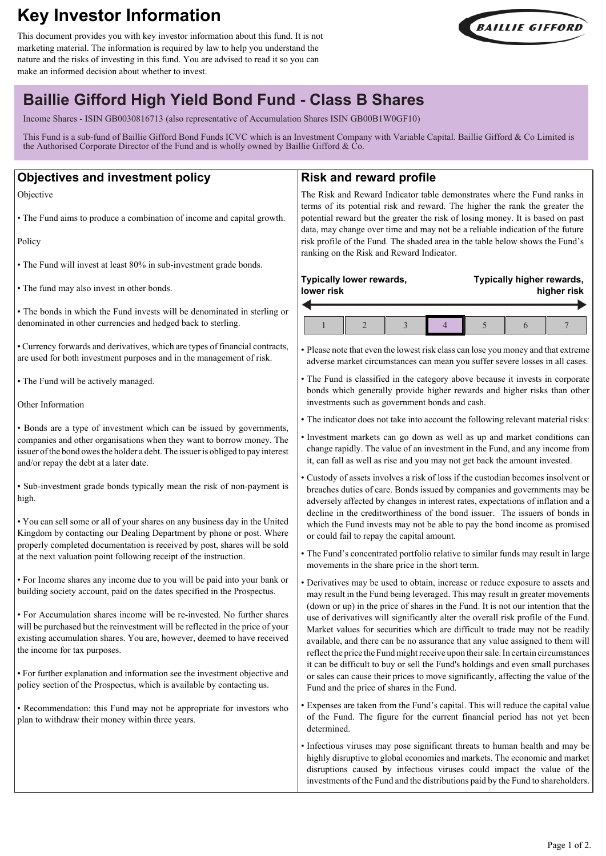# **Key Investor Information**

This document provides you with key investor information about this fund. It is not marketing material. The information is required by law to help you understand the nature and the risks of investing in this fund. You are advised to read it so you can make an informed decision about whether to invest.



**Typically higher rewards,**

# **Baillie Gifford High Yield Bond Fund - Class B Shares**

Income Shares - ISIN GB0030816713 (also representative of Accumulation Shares ISIN GB00B1W0GF10)

This Fund is a sub-fund of Baillie Gifford Bond Funds ICVC which is an Investment Company with Variable Capital. Baillie Gifford & Co Limited is the Authorised Corporate Director of the Fund and is wholly owned by Baillie Gifford & Co.

## **Objectives and investment policy**

Objective

• The Fund aims to produce a combination of income and capital growth.

Policy

• The Fund will invest at least 80% in sub-investment grade bonds.

• The fund may also invest in other bonds.

• The bonds in which the Fund invests will be denominated in sterling or denominated in other currencies and hedged back to sterling.

• Currency forwards and derivatives, which are types of financial contracts, are used for both investment purposes and in the management of risk.

• The Fund will be actively managed.

Other Information

• Bonds are a type of investment which can be issued by governments, companies and other organisations when they want to borrow money. The issuer of the bond owes the holder a debt. The issuer is obliged to pay interest and/or repay the debt at a later date.

• Sub-investment grade bonds typically mean the risk of non-payment is high.

• You can sell some or all of your shares on any business day in the United Kingdom by contacting our Dealing Department by phone or post. Where properly completed documentation is received by post, shares will be sold at the next valuation point following receipt of the instruction.

• For Income shares any income due to you will be paid into your bank or building society account, paid on the dates specified in the Prospectus.

• For Accumulation shares income will be re-invested. No further shares will be purchased but the reinvestment will be reflected in the price of your existing accumulation shares. You are, however, deemed to have received the income for tax purposes.

• For further explanation and information see the investment objective and policy section of the Prospectus, which is available by contacting us.

• Recommendation: this Fund may not be appropriate for investors who plan to withdraw their money within three years.

# **Risk and reward profile**

The Risk and Reward Indicator table demonstrates where the Fund ranks in terms of its potential risk and reward. The higher the rank the greater the potential reward but the greater the risk of losing money. It is based on past data, may change over time and may not be a reliable indication of the future risk profile of the Fund. The shaded area in the table below shows the Fund's ranking on the Risk and Reward Indicator.

### **Typically lower rewards, lower risk**

# **higher risk**  $1 \parallel 2 \parallel 3 \parallel 4 \parallel 5 \parallel 6 \parallel 7$

• Please note that even the lowest risk class can lose you money and that extreme adverse market circumstances can mean you suffer severe losses in all cases.

• The Fund is classified in the category above because it invests in corporate bonds which generally provide higher rewards and higher risks than other investments such as government bonds and cash.

• The indicator does not take into account the following relevant material risks:

• Investment markets can go down as well as up and market conditions can change rapidly. The value of an investment in the Fund, and any income from it, can fall as well as rise and you may not get back the amount invested.

• Custody of assets involves a risk of loss if the custodian becomes insolvent or breaches duties of care. Bonds issued by companies and governments may be adversely affected by changes in interest rates, expectations of inflation and a decline in the creditworthiness of the bond issuer. The issuers of bonds in which the Fund invests may not be able to pay the bond income as promised or could fail to repay the capital amount.

• The Fund's concentrated portfolio relative to similar funds may result in large movements in the share price in the short term.

• Derivatives may be used to obtain, increase or reduce exposure to assets and may result in the Fund being leveraged. This may result in greater movements (down or up) in the price of shares in the Fund. It is not our intention that the use of derivatives will significantly alter the overall risk profile of the Fund. Market values for securities which are difficult to trade may not be readily available, and there can be no assurance that any value assigned to them will reflect the price the Fund might receive upon their sale. In certain circumstances it can be difficult to buy or sell the Fund's holdings and even small purchases or sales can cause their prices to move significantly, affecting the value of the Fund and the price of shares in the Fund.

• Expenses are taken from the Fund's capital. This will reduce the capital value of the Fund. The figure for the current financial period has not yet been determined.

• Infectious viruses may pose significant threats to human health and may be highly disruptive to global economies and markets. The economic and market disruptions caused by infectious viruses could impact the value of the investments of the Fund and the distributions paid by the Fund to shareholders.